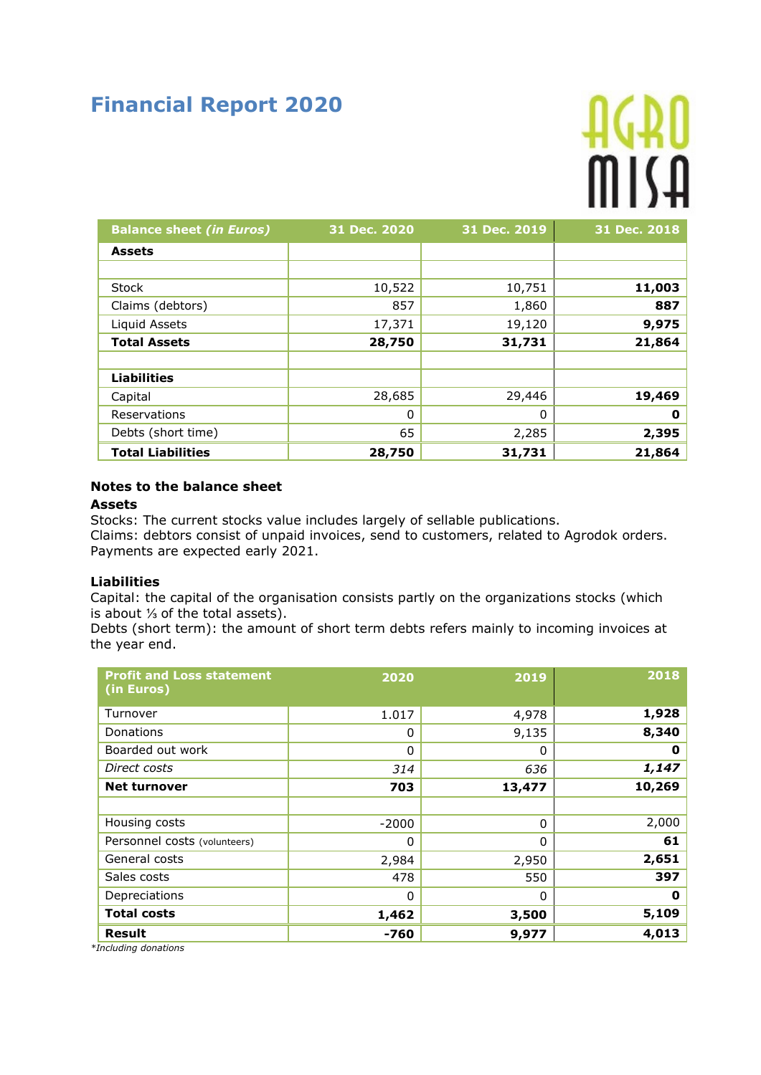# **Financial Report 2020**

# 

| <b>Balance sheet (in Euros)</b> | 31 Dec. 2020 | 31 Dec. 2019 | 31 Dec. 2018 |
|---------------------------------|--------------|--------------|--------------|
| <b>Assets</b>                   |              |              |              |
|                                 |              |              |              |
| <b>Stock</b>                    | 10,522       | 10,751       | 11,003       |
| Claims (debtors)                | 857          | 1,860        | 887          |
| Liquid Assets                   | 17,371       | 19,120       | 9,975        |
| <b>Total Assets</b>             | 28,750       | 31,731       | 21,864       |
|                                 |              |              |              |
| <b>Liabilities</b>              |              |              |              |
| Capital                         | 28,685       | 29,446       | 19,469       |
| Reservations                    | 0            | 0            | 0            |
| Debts (short time)              | 65           | 2,285        | 2,395        |
| <b>Total Liabilities</b>        | 28,750       | 31,731       | 21,864       |

# **Notes to the balance sheet**

#### **Assets**

Stocks: The current stocks value includes largely of sellable publications. Claims: debtors consist of unpaid invoices, send to customers, related to Agrodok orders. Payments are expected early 2021.

### **Liabilities**

Capital: the capital of the organisation consists partly on the organizations stocks (which is about ⅓ of the total assets).

Debts (short term): the amount of short term debts refers mainly to incoming invoices at the year end.

| <b>Profit and Loss statement</b><br>(in Euros) | 2020         | 2019   | 2018   |
|------------------------------------------------|--------------|--------|--------|
| Turnover                                       | 1.017        | 4,978  | 1,928  |
| Donations                                      | 0            | 9,135  | 8,340  |
| Boarded out work                               | $\mathbf{0}$ | 0      | 0      |
| Direct costs                                   | 314          | 636    | 1,147  |
| <b>Net turnover</b>                            | 703          | 13,477 | 10,269 |
|                                                |              |        |        |
| Housing costs                                  | $-2000$      | 0      | 2,000  |
| Personnel costs (volunteers)                   | 0            | 0      | 61     |
| General costs                                  | 2,984        | 2,950  | 2,651  |
| Sales costs                                    | 478          | 550    | 397    |
| Depreciations                                  | $\mathbf{0}$ | 0      | 0      |
| <b>Total costs</b>                             | 1,462        | 3,500  | 5,109  |
| Result                                         | -760         | 9,977  | 4,013  |

*\*Including donations*